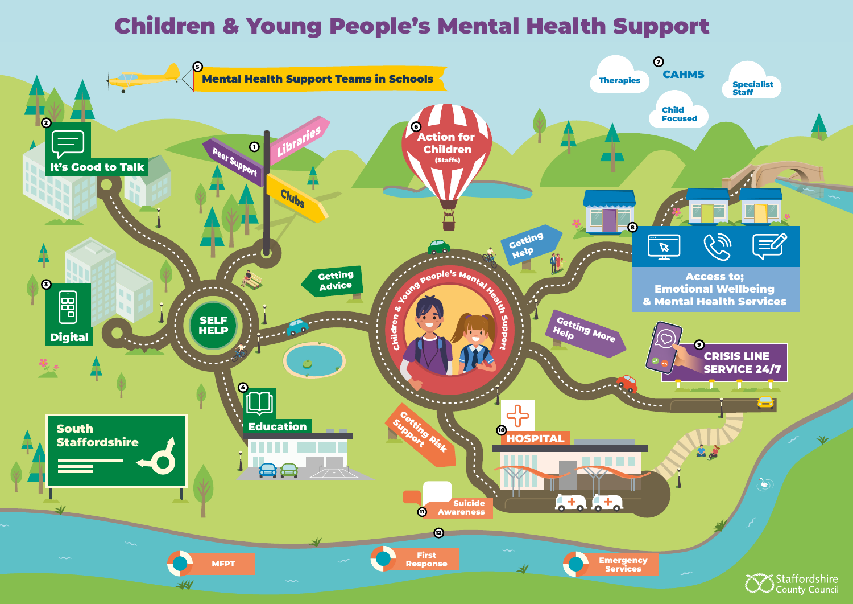<span id="page-0-0"></span>



# Children & Young People's Mental Health Support